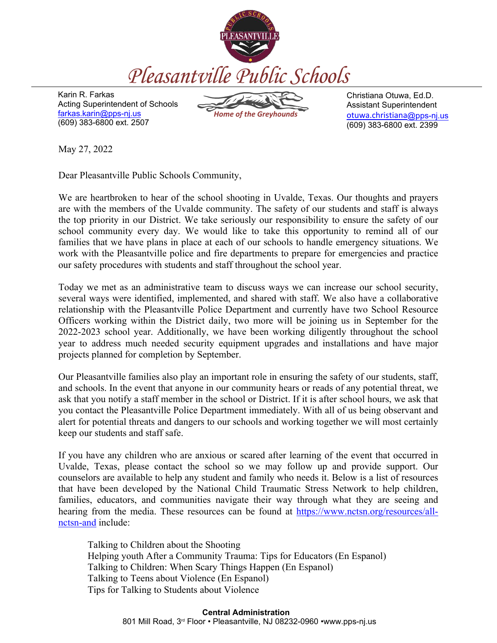

Karin R. Farkas Acting Superintendent of Schools farkas.karin@pps-nj.us (609) 383-6800 ext. 2507

*Home of the Greyhounds*

Christiana Otuwa, Ed.D. Assistant Superintendent otuwa.christiana@pps-nj.us (609) 383-6800 ext. 2399

May 27, 2022

Dear Pleasantville Public Schools Community,

We are heartbroken to hear of the school shooting in Uvalde, Texas. Our thoughts and prayers are with the members of the Uvalde community. The safety of our students and staff is always the top priority in our District. We take seriously our responsibility to ensure the safety of our school community every day. We would like to take this opportunity to remind all of our families that we have plans in place at each of our schools to handle emergency situations. We work with the Pleasantville police and fire departments to prepare for emergencies and practice our safety procedures with students and staff throughout the school year.

Today we met as an administrative team to discuss ways we can increase our school security, several ways were identified, implemented, and shared with staff. We also have a collaborative relationship with the Pleasantville Police Department and currently have two School Resource Officers working within the District daily, two more will be joining us in September for the 2022-2023 school year. Additionally, we have been working diligently throughout the school year to address much needed security equipment upgrades and installations and have major projects planned for completion by September.

Our Pleasantville families also play an important role in ensuring the safety of our students, staff, and schools. In the event that anyone in our community hears or reads of any potential threat, we ask that you notify a staff member in the school or District. If it is after school hours, we ask that you contact the Pleasantville Police Department immediately. With all of us being observant and alert for potential threats and dangers to our schools and working together we will most certainly keep our students and staff safe.

If you have any children who are anxious or scared after learning of the event that occurred in Uvalde, Texas, please contact the school so we may follow up and provide support. Our counselors are available to help any student and family who needs it. Below is a list of resources that have been developed by the National Child Traumatic Stress Network to help children, families, educators, and communities navigate their way through what they are seeing and hearing from the media. These resources can be found at https://www.nctsn.org/resources/allnctsn-and include:

Talking to Children about the Shooting Helping youth After a Community Trauma: Tips for Educators (En Espanol) Talking to Children: When Scary Things Happen (En Espanol) Talking to Teens about Violence (En Espanol) Tips for Talking to Students about Violence